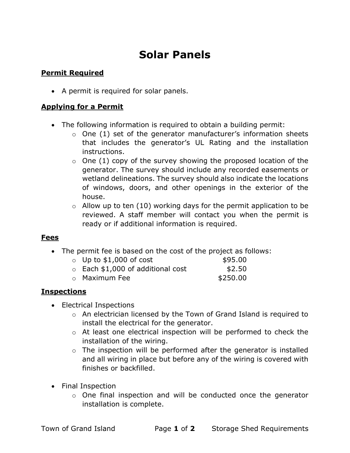# Solar Panels

## Permit Required

• A permit is required for solar panels.

#### Applying for a Permit

- The following information is required to obtain a building permit:
	- $\circ$  One (1) set of the generator manufacturer's information sheets that includes the generator's UL Rating and the installation instructions.
	- $\circ$  One (1) copy of the survey showing the proposed location of the generator. The survey should include any recorded easements or wetland delineations. The survey should also indicate the locations of windows, doors, and other openings in the exterior of the house.
	- $\circ$  Allow up to ten (10) working days for the permit application to be reviewed. A staff member will contact you when the permit is ready or if additional information is required.

#### Fees

The permit fee is based on the cost of the project as follows:

| $\circ$ Up to \$1,000 of cost           | \$95.00   |
|-----------------------------------------|-----------|
| $\circ$ Each \$1,000 of additional cost | \$2.50    |
|                                         | --- - - - |

o Maximum Fee \$250.00

### Inspections

- Electrical Inspections
	- o An electrician licensed by the Town of Grand Island is required to install the electrical for the generator.
	- o At least one electrical inspection will be performed to check the installation of the wiring.
	- $\circ$  The inspection will be performed after the generator is installed and all wiring in place but before any of the wiring is covered with finishes or backfilled.
- Final Inspection
	- o One final inspection and will be conducted once the generator installation is complete.